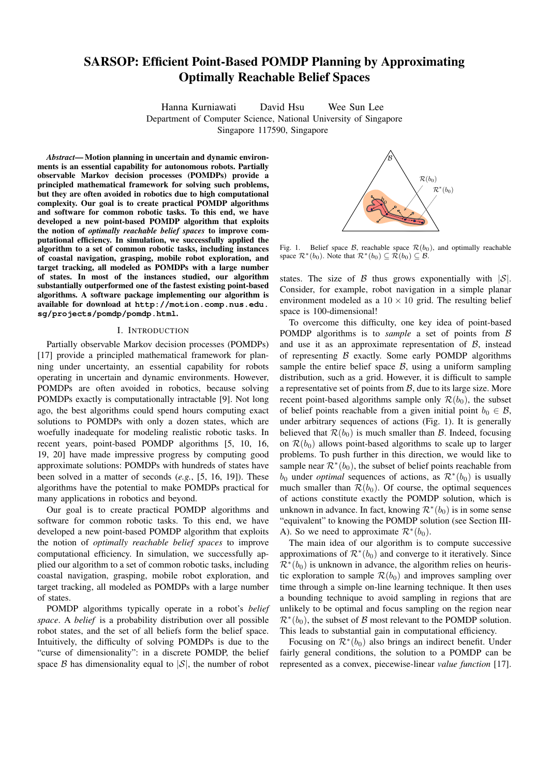# SARSOP: Efficient Point-Based POMDP Planning by Approximating Optimally Reachable Belief Spaces

Hanna Kurniawati David Hsu Wee Sun Lee Department of Computer Science, National University of Singapore Singapore 117590, Singapore

*Abstract*— Motion planning in uncertain and dynamic environments is an essential capability for autonomous robots. Partially observable Markov decision processes (POMDPs) provide a principled mathematical framework for solving such problems, but they are often avoided in robotics due to high computational complexity. Our goal is to create practical POMDP algorithms and software for common robotic tasks. To this end, we have developed a new point-based POMDP algorithm that exploits the notion of *optimally reachable belief spaces* to improve computational efficiency. In simulation, we successfully applied the algorithm to a set of common robotic tasks, including instances of coastal navigation, grasping, mobile robot exploration, and target tracking, all modeled as POMDPs with a large number of states. In most of the instances studied, our algorithm substantially outperformed one of the fastest existing point-based algorithms. A software package implementing our algorithm is available for download at **http://motion.comp.nus.edu. sg/projects/pomdp/pomdp.html**.

#### I. INTRODUCTION

Partially observable Markov decision processes (POMDPs) [17] provide a principled mathematical framework for planning under uncertainty, an essential capability for robots operating in uncertain and dynamic environments. However, POMDPs are often avoided in robotics, because solving POMDPs exactly is computationally intractable [9]. Not long ago, the best algorithms could spend hours computing exact solutions to POMDPs with only a dozen states, which are woefully inadequate for modeling realistic robotic tasks. In recent years, point-based POMDP algorithms [5, 10, 16, 19, 20] have made impressive progress by computing good approximate solutions: POMDPs with hundreds of states have been solved in a matter of seconds (*e.g.*, [5, 16, 19]). These algorithms have the potential to make POMDPs practical for many applications in robotics and beyond.

Our goal is to create practical POMDP algorithms and software for common robotic tasks. To this end, we have developed a new point-based POMDP algorithm that exploits the notion of *optimally reachable belief spaces* to improve computational efficiency. In simulation, we successfully applied our algorithm to a set of common robotic tasks, including coastal navigation, grasping, mobile robot exploration, and target tracking, all modeled as POMDPs with a large number of states.

POMDP algorithms typically operate in a robot's *belief space*. A *belief* is a probability distribution over all possible robot states, and the set of all beliefs form the belief space. Intuitively, the difficulty of solving POMDPs is due to the "curse of dimensionality": in a discrete POMDP, the belief space  $\beta$  has dimensionality equal to  $|\mathcal{S}|$ , the number of robot



Fig. 1. Belief space B, reachable space  $\mathcal{R}(b_0)$ , and optimally reachable space  $\mathcal{R}^*(b_0)$ . Note that  $\mathcal{R}^*(b_0) \subseteq \mathcal{R}(b_0) \subseteq \mathcal{B}$ .

states. The size of  $\beta$  thus grows exponentially with  $|\mathcal{S}|$ . Consider, for example, robot navigation in a simple planar environment modeled as a  $10 \times 10$  grid. The resulting belief space is 100-dimensional!

To overcome this difficulty, one key idea of point-based POMDP algorithms is to *sample* a set of points from B and use it as an approximate representation of  $B$ , instead of representing  $\beta$  exactly. Some early POMDP algorithms sample the entire belief space  $\beta$ , using a uniform sampling distribution, such as a grid. However, it is difficult to sample a representative set of points from  $B$ , due to its large size. More recent point-based algorithms sample only  $\mathcal{R}(b_0)$ , the subset of belief points reachable from a given initial point  $b_0 \in \mathcal{B}$ , under arbitrary sequences of actions (Fig. 1). It is generally believed that  $\mathcal{R}(b_0)$  is much smaller than  $\mathcal{B}$ . Indeed, focusing on  $\mathcal{R}(b_0)$  allows point-based algorithms to scale up to larger problems. To push further in this direction, we would like to sample near  $\mathcal{R}^*(b_0)$ , the subset of belief points reachable from  $b_0$  under *optimal* sequences of actions, as  $\mathcal{R}^*(b_0)$  is usually much smaller than  $\mathcal{R}(b_0)$ . Of course, the optimal sequences of actions constitute exactly the POMDP solution, which is unknown in advance. In fact, knowing  $\mathcal{R}^*(b_0)$  is in some sense "equivalent" to knowing the POMDP solution (see Section III-A). So we need to approximate  $\mathcal{R}^*(b_0)$ .

The main idea of our algorithm is to compute successive approximations of  $\mathcal{R}^*(b_0)$  and converge to it iteratively. Since  $\mathcal{R}^*(b_0)$  is unknown in advance, the algorithm relies on heuristic exploration to sample  $\mathcal{R}(b_0)$  and improves sampling over time through a simple on-line learning technique. It then uses a bounding technique to avoid sampling in regions that are unlikely to be optimal and focus sampling on the region near  $\mathcal{R}^*(b_0)$ , the subset of  $\mathcal B$  most relevant to the POMDP solution. This leads to substantial gain in computational efficiency.

Focusing on  $\mathcal{R}^*(b_0)$  also brings an indirect benefit. Under fairly general conditions, the solution to a POMDP can be represented as a convex, piecewise-linear *value function* [17].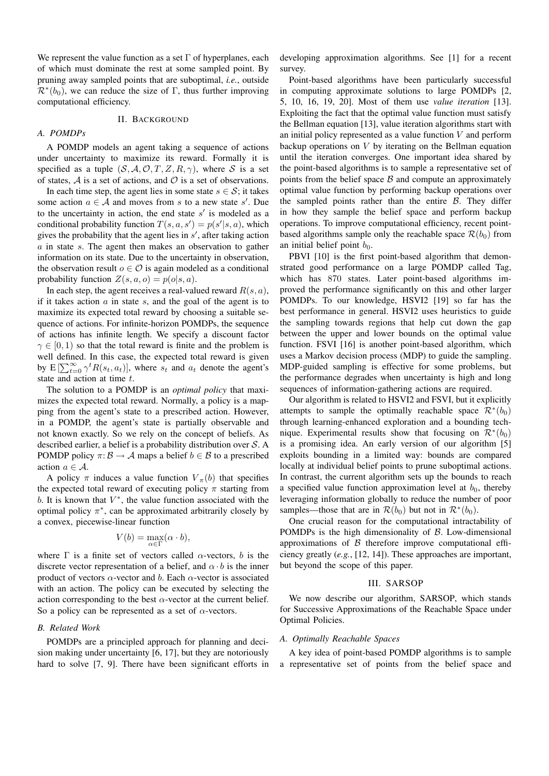We represent the value function as a set  $\Gamma$  of hyperplanes, each of which must dominate the rest at some sampled point. By pruning away sampled points that are suboptimal, *i.e.*, outside  $\mathcal{R}^*(b_0)$ , we can reduce the size of Γ, thus further improving computational efficiency.

#### II. BACKGROUND

#### *A. POMDPs*

A POMDP models an agent taking a sequence of actions under uncertainty to maximize its reward. Formally it is specified as a tuple  $(S, A, O, T, Z, R, \gamma)$ , where S is a set of states,  $A$  is a set of actions, and  $O$  is a set of observations.

In each time step, the agent lies in some state  $s \in \mathcal{S}$ ; it takes some action  $a \in \mathcal{A}$  and moves from s to a new state s'. Due to the uncertainty in action, the end state  $s'$  is modeled as a conditional probability function  $T(s, a, s') = p(s'|s, a)$ , which gives the probability that the agent lies in  $s'$ , after taking action a in state s. The agent then makes an observation to gather information on its state. Due to the uncertainty in observation, the observation result  $o \in \mathcal{O}$  is again modeled as a conditional probability function  $Z(s, a, o) = p(o|s, a)$ .

In each step, the agent receives a real-valued reward  $R(s, a)$ , if it takes action  $a$  in state  $s$ , and the goal of the agent is to maximize its expected total reward by choosing a suitable sequence of actions. For infinite-horizon POMDPs, the sequence of actions has infinite length. We specify a discount factor  $\gamma \in [0, 1)$  so that the total reward is finite and the problem is well defined. In this case, the expected total reward is given by  $E\left[\sum_{t=0}^{\infty} \gamma^t R(s_t, a_t)\right]$ , where  $s_t$  and  $a_t$  denote the agent's state and action at time t.

The solution to a POMDP is an *optimal policy* that maximizes the expected total reward. Normally, a policy is a mapping from the agent's state to a prescribed action. However, in a POMDP, the agent's state is partially observable and not known exactly. So we rely on the concept of beliefs. As described earlier, a belief is a probability distribution over S. A POMDP policy  $\pi: \mathcal{B} \to \mathcal{A}$  maps a belief  $b \in \mathcal{B}$  to a prescribed action  $a \in \mathcal{A}$ .

A policy  $\pi$  induces a value function  $V_{\pi}(b)$  that specifies the expected total reward of executing policy  $\pi$  starting from b. It is known that  $V^*$ , the value function associated with the optimal policy  $\pi^*$ , can be approximated arbitrarily closely by a convex, piecewise-linear function

$$
V(b) = \max_{\alpha \in \Gamma} (\alpha \cdot b),
$$

where  $\Gamma$  is a finite set of vectors called  $\alpha$ -vectors, b is the discrete vector representation of a belief, and  $\alpha \cdot b$  is the inner product of vectors  $\alpha$ -vector and b. Each  $\alpha$ -vector is associated with an action. The policy can be executed by selecting the action corresponding to the best  $\alpha$ -vector at the current belief. So a policy can be represented as a set of  $\alpha$ -vectors.

#### *B. Related Work*

POMDPs are a principled approach for planning and decision making under uncertainty [6, 17], but they are notoriously hard to solve [7, 9]. There have been significant efforts in developing approximation algorithms. See [1] for a recent survey.

Point-based algorithms have been particularly successful in computing approximate solutions to large POMDPs [2, 5, 10, 16, 19, 20]. Most of them use *value iteration* [13]. Exploiting the fact that the optimal value function must satisfy the Bellman equation [13], value iteration algorithms start with an initial policy represented as a value function  $V$  and perform backup operations on V by iterating on the Bellman equation until the iteration converges. One important idea shared by the point-based algorithms is to sample a representative set of points from the belief space  $\beta$  and compute an approximately optimal value function by performing backup operations over the sampled points rather than the entire  $\beta$ . They differ in how they sample the belief space and perform backup operations. To improve computational efficiency, recent pointbased algorithms sample only the reachable space  $\mathcal{R}(b_0)$  from an initial belief point  $b_0$ .

PBVI [10] is the first point-based algorithm that demonstrated good performance on a large POMDP called Tag, which has 870 states. Later point-based algorithms improved the performance significantly on this and other larger POMDPs. To our knowledge, HSVI2 [19] so far has the best performance in general. HSVI2 uses heuristics to guide the sampling towards regions that help cut down the gap between the upper and lower bounds on the optimal value function. FSVI [16] is another point-based algorithm, which uses a Markov decision process (MDP) to guide the sampling. MDP-guided sampling is effective for some problems, but the performance degrades when uncertainty is high and long sequences of information-gathering actions are required.

Our algorithm is related to HSVI2 and FSVI, but it explicitly attempts to sample the optimally reachable space  $\mathcal{R}^*(b_0)$ through learning-enhanced exploration and a bounding technique. Experimental results show that focusing on  $\mathcal{R}^*(b_0)$ is a promising idea. An early version of our algorithm [5] exploits bounding in a limited way: bounds are compared locally at individual belief points to prune suboptimal actions. In contrast, the current algorithm sets up the bounds to reach a specified value function approximation level at  $b_0$ , thereby leveraging information globally to reduce the number of poor samples—those that are in  $\mathcal{R}(b_0)$  but not in  $\mathcal{R}^*(b_0)$ .

One crucial reason for the computational intractability of POMDPs is the high dimensionality of  $B$ . Low-dimensional approximations of  $\beta$  therefore improve computational efficiency greatly (*e.g.*, [12, 14]). These approaches are important, but beyond the scope of this paper.

#### III. SARSOP

We now describe our algorithm, SARSOP, which stands for Successive Approximations of the Reachable Space under Optimal Policies.

#### *A. Optimally Reachable Spaces*

A key idea of point-based POMDP algorithms is to sample a representative set of points from the belief space and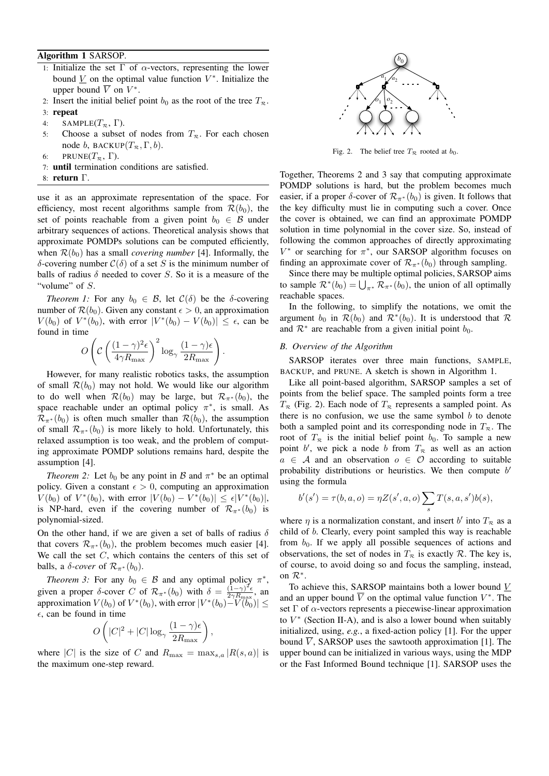#### Algorithm 1 SARSOP.

- 1: Initialize the set  $\Gamma$  of  $\alpha$ -vectors, representing the lower bound  $\underline{V}$  on the optimal value function  $V^*$ . Initialize the upper bound  $\overline{V}$  on  $V^*$ .
- 2: Insert the initial belief point  $b_0$  as the root of the tree  $T_R$ .
- 3: repeat
- 4: SAMPLE $(T_{\mathcal{R}}, \Gamma)$ .
- 5: Choose a subset of nodes from  $T_{\mathcal{R}}$ . For each chosen node b, BACKUP $(T_{\mathcal{R}}, \Gamma, b)$ .
- 6: PRUNE( $T_{\mathcal{R}}$ ,  $\Gamma$ ).
- 7: until termination conditions are satisfied.
- 8: return Γ.

use it as an approximate representation of the space. For efficiency, most recent algorithms sample from  $\mathcal{R}(b_0)$ , the set of points reachable from a given point  $b_0 \in \mathcal{B}$  under arbitrary sequences of actions. Theoretical analysis shows that approximate POMDPs solutions can be computed efficiently, when  $\mathcal{R}(b_0)$  has a small *covering number* [4]. Informally, the δ-covering number  $C(δ)$  of a set S is the minimum number of balls of radius  $\delta$  needed to cover S. So it is a measure of the "volume" of S.

*Theorem 1:* For any  $b_0 \in \mathcal{B}$ , let  $\mathcal{C}(\delta)$  be the  $\delta$ -covering number of  $\mathcal{R}(b_0)$ . Given any constant  $\epsilon > 0$ , an approximation  $V(b_0)$  of  $V^*(b_0)$ , with error  $|V^*(b_0) - V(b_0)| \leq \epsilon$ , can be found in time

$$
O\left(\mathcal{C}\left(\frac{(1-\gamma)^2\epsilon}{4\gamma R_{\text{max}}}\right)^2\log_\gamma\frac{(1-\gamma)\epsilon}{2R_{\text{max}}}\right).
$$

However, for many realistic robotics tasks, the assumption of small  $\mathcal{R}(b_0)$  may not hold. We would like our algorithm to do well when  $\mathcal{R}(b_0)$  may be large, but  $\mathcal{R}_{\pi^*}(b_0)$ , the space reachable under an optimal policy  $\pi^*$ , is small. As  $\mathcal{R}_{\pi^*}(b_0)$  is often much smaller than  $\mathcal{R}(b_0)$ , the assumption of small  $\mathcal{R}_{\pi^*}(b_0)$  is more likely to hold. Unfortunately, this relaxed assumption is too weak, and the problem of computing approximate POMDP solutions remains hard, despite the assumption [4].

*Theorem 2:* Let  $b_0$  be any point in  $\beta$  and  $\pi^*$  be an optimal policy. Given a constant  $\epsilon > 0$ , computing an approximation  $V(b_0)$  of  $V^*(b_0)$ , with error  $|V(b_0) - V^*(b_0)| \leq \epsilon |V^*(b_0)|$ , is NP-hard, even if the covering number of  $\mathcal{R}_{\pi^*}(b_0)$  is polynomial-sized.

On the other hand, if we are given a set of balls of radius  $\delta$ that covers  $\mathcal{R}_{\pi^*}(b_0)$ , the problem becomes much easier [4]. We call the set  $C$ , which contains the centers of this set of balls, a *δ-cover* of  $\mathcal{R}_{\pi^*}(b_0)$ .

*Theorem 3:* For any  $b_0 \in \mathcal{B}$  and any optimal policy  $\pi^*$ , given a proper  $\delta$ -cover C of  $\mathcal{R}_{\pi^*}(b_0)$  with  $\delta = \frac{1-\gamma)^2 \epsilon}{2\gamma R_{\text{max}}}$  $\frac{(1-\gamma)}{2\gamma R_{\text{max}}}$ , an approximation  $V(b_0)$  of  $V^*(b_0)$ , with error  $|V^*(b_0) - V(b_0)| \le$  $\epsilon$ , can be found in time

$$
O\left(|C|^2 + |C|\log_{\gamma}\frac{(1-\gamma)\epsilon}{2R_{\max}}\right),\right
$$

where |C| is the size of C and  $R_{\text{max}} = \max_{s,a} |R(s,a)|$  is the maximum one-step reward.



Fig. 2. The belief tree  $T_{\mathcal{R}}$  rooted at  $b_0$ .

Together, Theorems 2 and 3 say that computing approximate POMDP solutions is hard, but the problem becomes much easier, if a proper  $\delta$ -cover of  $\mathcal{R}_{\pi^*}(b_0)$  is given. It follows that the key difficulty must lie in computing such a cover. Once the cover is obtained, we can find an approximate POMDP solution in time polynomial in the cover size. So, instead of following the common approaches of directly approximating  $V^*$  or searching for  $\pi^*$ , our SARSOP algorithm focuses on finding an approximate cover of  $\mathcal{R}_{\pi^*}(b_0)$  through sampling.

Since there may be multiple optimal policies, SARSOP aims to sample  $\mathcal{R}^*(b_0) = \bigcup_{\pi^*} \mathcal{R}_{\pi^*}(b_0)$ , the union of all optimally reachable spaces.

In the following, to simplify the notations, we omit the argument  $b_0$  in  $\mathcal{R}(b_0)$  and  $\mathcal{R}^*(b_0)$ . It is understood that  $\mathcal R$ and  $\mathcal{R}^*$  are reachable from a given initial point  $b_0$ .

#### *B. Overview of the Algorithm*

SARSOP iterates over three main functions, SAMPLE, BACKUP, and PRUNE. A sketch is shown in Algorithm 1.

Like all point-based algorithm, SARSOP samples a set of points from the belief space. The sampled points form a tree  $T_{\mathcal{R}}$  (Fig. 2). Each node of  $T_{\mathcal{R}}$  represents a sampled point. As there is no confusion, we use the same symbol  $b$  to denote both a sampled point and its corresponding node in  $T_{\mathcal{R}}$ . The root of  $T_{\mathcal{R}}$  is the initial belief point  $b_0$ . To sample a new point b', we pick a node b from  $T<sub>R</sub>$  as well as an action  $a \in A$  and an observation  $o \in O$  according to suitable probability distributions or heuristics. We then compute  $b'$ using the formula

$$
b'(s') = \tau(b, a, o) = \eta Z(s', a, o) \sum_{s} T(s, a, s')b(s),
$$

where  $\eta$  is a normalization constant, and insert b' into  $T_{\mathcal{R}}$  as a child of b. Clearly, every point sampled this way is reachable from  $b_0$ . If we apply all possible sequences of actions and observations, the set of nodes in  $T<sub>R</sub>$  is exactly R. The key is, of course, to avoid doing so and focus the sampling, instead, on R<sup>∗</sup> .

To achieve this, SARSOP maintains both a lower bound V and an upper bound  $\overline{V}$  on the optimal value function  $V^*$ . The set  $\Gamma$  of  $\alpha$ -vectors represents a piecewise-linear approximation to  $V^*$  (Section II-A), and is also a lower bound when suitably initialized, using, *e.g.*, a fixed-action policy [1]. For the upper bound  $\overline{V}$ , SARSOP uses the sawtooth approximation [1]. The upper bound can be initialized in various ways, using the MDP or the Fast Informed Bound technique [1]. SARSOP uses the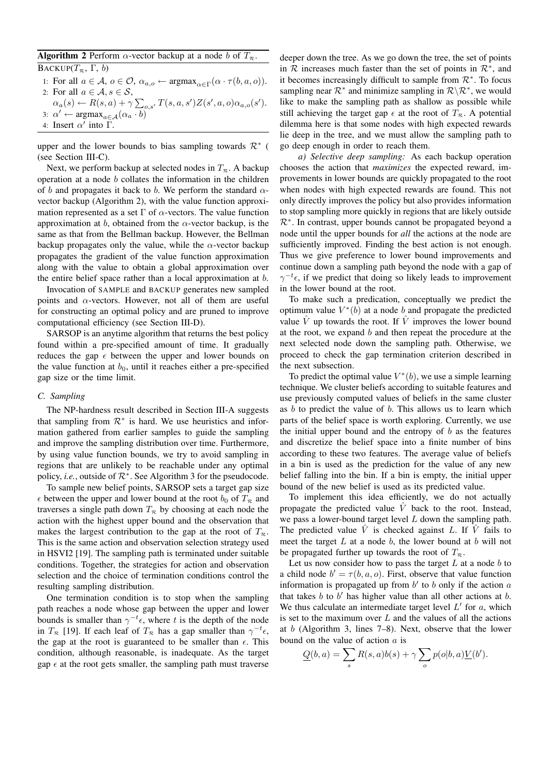## **Algorithm 2** Perform  $\alpha$ -vector backup at a node b of  $T_{\alpha}$ .

 $\overline{\text{BACKUP}(T_{\mathcal{R}}, \Gamma, b)}$ 

- 1: For all  $a \in \mathcal{A}$ ,  $o \in \mathcal{O}$ ,  $\alpha_{a,o} \leftarrow \text{argmax}_{\alpha \in \Gamma} (\alpha \cdot \tau(b, a, o)).$
- 2: For all  $a \in \mathcal{A}, s \in \mathcal{S}$ ,  $\alpha_a(s) \leftarrow R(s, a) + \gamma \sum_{o,s'} T(s, a, s') Z(s', a, o) \alpha_{a,o}(s').$
- 3:  $\alpha' \leftarrow \operatorname{argmax}_{a \in \mathcal{A}} (\alpha_a \cdot b)$
- 4: Insert  $\alpha'$  into  $\overline{\Gamma}$ .

upper and the lower bounds to bias sampling towards  $\mathcal{R}^*$  ( (see Section III-C).

Next, we perform backup at selected nodes in  $T_{\mathcal{R}}$ . A backup operation at a node  $b$  collates the information in the children of b and propagates it back to b. We perform the standard  $\alpha$ vector backup (Algorithm 2), with the value function approximation represented as a set  $\Gamma$  of  $\alpha$ -vectors. The value function approximation at b, obtained from the  $\alpha$ -vector backup, is the same as that from the Bellman backup. However, the Bellman backup propagates only the value, while the  $\alpha$ -vector backup propagates the gradient of the value function approximation along with the value to obtain a global approximation over the entire belief space rather than a local approximation at b.

Invocation of SAMPLE and BACKUP generates new sampled points and  $\alpha$ -vectors. However, not all of them are useful for constructing an optimal policy and are pruned to improve computational efficiency (see Section III-D).

SARSOP is an anytime algorithm that returns the best policy found within a pre-specified amount of time. It gradually reduces the gap  $\epsilon$  between the upper and lower bounds on the value function at  $b_0$ , until it reaches either a pre-specified gap size or the time limit.

#### *C. Sampling*

The NP-hardness result described in Section III-A suggests that sampling from  $\mathcal{R}^*$  is hard. We use heuristics and information gathered from earlier samples to guide the sampling and improve the sampling distribution over time. Furthermore, by using value function bounds, we try to avoid sampling in regions that are unlikely to be reachable under any optimal policy, *i.e.*, outside of  $\mathcal{R}^*$ . See Algorithm 3 for the pseudocode.

To sample new belief points, SARSOP sets a target gap size  $\epsilon$  between the upper and lower bound at the root  $b_0$  of  $T_R$  and traverses a single path down  $T_R$  by choosing at each node the action with the highest upper bound and the observation that makes the largest contribution to the gap at the root of  $T_{\mathcal{R}}$ . This is the same action and observation selection strategy used in HSVI2 [19]. The sampling path is terminated under suitable conditions. Together, the strategies for action and observation selection and the choice of termination conditions control the resulting sampling distribution.

One termination condition is to stop when the sampling path reaches a node whose gap between the upper and lower bounds is smaller than  $\gamma^{-t} \epsilon$ , where t is the depth of the node in  $T_{\mathcal{R}}$  [19]. If each leaf of  $T_{\mathcal{R}}$  has a gap smaller than  $\gamma^{-t} \epsilon$ , the gap at the root is guaranteed to be smaller than  $\epsilon$ . This condition, although reasonable, is inadequate. As the target gap  $\epsilon$  at the root gets smaller, the sampling path must traverse

deeper down the tree. As we go down the tree, the set of points in  $R$  increases much faster than the set of points in  $R^*$ , and it becomes increasingly difficult to sample from  $\mathcal{R}^*$ . To focus sampling near  $\mathcal{R}^*$  and minimize sampling in  $\mathcal{R}\backslash\mathcal{R}^*$ , we would like to make the sampling path as shallow as possible while still achieving the target gap  $\epsilon$  at the root of  $T_{\mathcal{R}}$ . A potential dilemma here is that some nodes with high expected rewards lie deep in the tree, and we must allow the sampling path to go deep enough in order to reach them.

*a) Selective deep sampling:* As each backup operation chooses the action that *maximizes* the expected reward, improvements in lower bounds are quickly propagated to the root when nodes with high expected rewards are found. This not only directly improves the policy but also provides information to stop sampling more quickly in regions that are likely outside R<sup>∗</sup> . In contrast, upper bounds cannot be propagated beyond a node until the upper bounds for *all* the actions at the node are sufficiently improved. Finding the best action is not enough. Thus we give preference to lower bound improvements and continue down a sampling path beyond the node with a gap of  $\gamma^{-t}$ <sub> $\epsilon$ </sub>, if we predict that doing so likely leads to improvement in the lower bound at the root.

To make such a predication, conceptually we predict the optimum value  $V^*(b)$  at a node b and propagate the predicted value  $\hat{V}$  up towards the root. If  $\hat{V}$  improves the lower bound at the root, we expand  $b$  and then repeat the procedure at the next selected node down the sampling path. Otherwise, we proceed to check the gap termination criterion described in the next subsection.

To predict the optimal value  $V^*(b)$ , we use a simple learning technique. We cluster beliefs according to suitable features and use previously computed values of beliefs in the same cluster as  $b$  to predict the value of  $b$ . This allows us to learn which parts of the belief space is worth exploring. Currently, we use the initial upper bound and the entropy of  $b$  as the features and discretize the belief space into a finite number of bins according to these two features. The average value of beliefs in a bin is used as the prediction for the value of any new belief falling into the bin. If a bin is empty, the initial upper bound of the new belief is used as its predicted value.

To implement this idea efficiently, we do not actually propagate the predicted value  $\hat{V}$  back to the root. Instead, we pass a lower-bound target level L down the sampling path. The predicted value  $\hat{V}$  is checked against L. If  $\hat{V}$  fails to meet the target  $L$  at a node  $b$ , the lower bound at  $b$  will not be propagated further up towards the root of  $T_{\mathcal{R}}$ .

Let us now consider how to pass the target  $L$  at a node  $b$  to a child node  $b' = \tau(b, a, o)$ . First, observe that value function information is propagated up from  $b'$  to  $b$  only if the action  $a$ that takes  $b$  to  $b'$  has higher value than all other actions at  $b$ . We thus calculate an intermediate target level  $L'$  for  $a$ , which is set to the maximum over  $L$  and the values of all the actions at b (Algorithm 3, lines 7–8). Next, observe that the lower bound on the value of action  $a$  is

$$
\underline{Q}(b,a) = \sum_s R(s,a)b(s) + \gamma \sum_o p(o|b,a) \underline{V}(b').
$$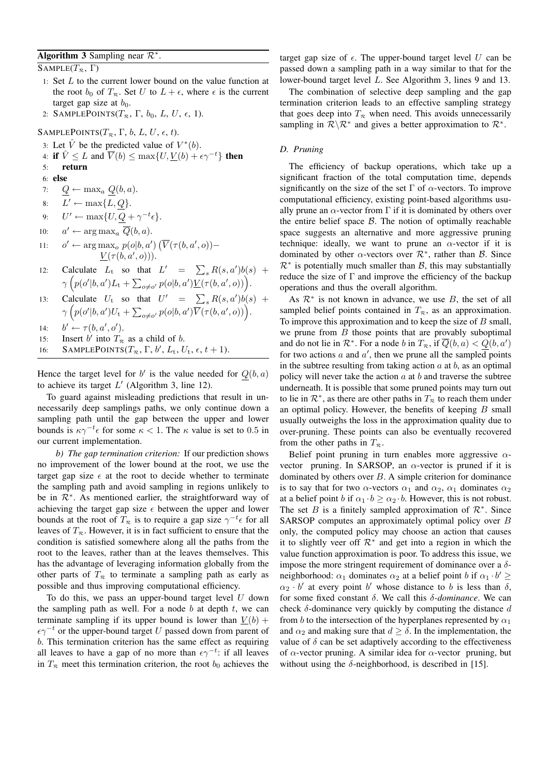## Algorithm 3 Sampling near  $\mathcal{R}^*$ .

 $\overline{\text{SAMPLE}(T_{\mathcal{R}}, \Gamma)}$ 

- 1: Set L to the current lower bound on the value function at the root  $b_0$  of  $T_R$ . Set U to  $L + \epsilon$ , where  $\epsilon$  is the current target gap size at  $b_0$ .
- 2: SAMPLEPOINTS $(T_{\mathcal{R}}, \Gamma, b_0, L, U, \epsilon, 1)$ .

SAMPLEPOINTS( $T_{\mathcal{R}}$ ,  $\Gamma$ ,  $b$ ,  $L$ ,  $U$ ,  $\epsilon$ ,  $t$ ).

- 3: Let  $\hat{V}$  be the predicted value of  $V^*(b)$ .
- 4: if  $\hat{V} \leq L$  and  $\overline{V}(b) \leq \max\{U, V(b) + \epsilon \gamma^{-t}\}\$  then
- 5: return
- 6: else
- 7:  $Q \leftarrow \max_a Q(b, a)$ .

8:  $L' \leftarrow \max\{L, Q\}.$ 

- 9:  $U' \leftarrow \max\{U, Q + \gamma^{-t} \epsilon\}.$
- $10:$  $a' \leftarrow \arg \max_a \overline{Q}(b, a).$

11: 
$$
o' \leftarrow \arg \max_o p(o|b, a') \left( \overline{V}(\tau(b, a', o)) - \underline{V}(\tau(b, a', o)) \right).
$$

- 12: Calculate  $L_t$  so that  $L' = \sum_s R(s, a')b(s)$  +  $\gamma\left(p(o'|b,a')L_{\mathrm{t}}+\sum_{o\neq o'}p(o|b,a')\underline{V}(\tau(b,a',o))\right).$
- 13: Calculate  $U_t$  so that  $U' = \sum_s R(s, a')b(s)$  +  $\gamma\left(p(o'|b,a')U_{\mathrm{t}}+\sum_{o\neq o'}p(o|b,a')\overline{V}(\tau(b,a',o))\right).$

14: b  $\prime \leftarrow \tau(b, a', o').$ 

- 15: Insert  $b'$  into  $T_{\mathcal{R}}$  as a child of  $b$ .
- 16: SAMPLEPOINTS $(T_{\mathcal{R}}, \Gamma, b', L_t, U_t, \epsilon, t + 1)$ .

Hence the target level for b' is the value needed for  $Q(b, a)$ to achieve its target  $L'$  (Algorithm 3, line 12).

To guard against misleading predictions that result in unnecessarily deep samplings paths, we only continue down a sampling path until the gap between the upper and lower bounds is  $\kappa \gamma^{-t} \epsilon$  for some  $\kappa < 1$ . The  $\kappa$  value is set to 0.5 in our current implementation.

*b) The gap termination criterion:* If our prediction shows no improvement of the lower bound at the root, we use the target gap size  $\epsilon$  at the root to decide whether to terminate the sampling path and avoid sampling in regions unlikely to be in  $\mathcal{R}^*$ . As mentioned earlier, the straightforward way of achieving the target gap size  $\epsilon$  between the upper and lower bounds at the root of  $T_{\mathcal{R}}$  is to require a gap size  $\gamma^{-t} \epsilon$  for all leaves of  $T<sub>R</sub>$ . However, it is in fact sufficient to ensure that the condition is satisfied somewhere along all the paths from the root to the leaves, rather than at the leaves themselves. This has the advantage of leveraging information globally from the other parts of  $T<sub>R</sub>$  to terminate a sampling path as early as possible and thus improving computational efficiency.

To do this, we pass an upper-bound target level  $U$  down the sampling path as well. For a node  $b$  at depth  $t$ , we can terminate sampling if its upper bound is lower than  $V(b)$  +  $\epsilon \gamma^{-t}$  or the upper-bound target U passed down from parent of b. This termination criterion has the same effect as requiring all leaves to have a gap of no more than  $\epsilon \gamma^{-t}$ : if all leaves in  $T_R$  meet this termination criterion, the root  $b_0$  achieves the

target gap size of  $\epsilon$ . The upper-bound target level U can be passed down a sampling path in a way similar to that for the lower-bound target level L. See Algorithm 3, lines 9 and 13.

The combination of selective deep sampling and the gap termination criterion leads to an effective sampling strategy that goes deep into  $T_{\mathcal{R}}$  when need. This avoids unnecessarily sampling in  $\mathcal{R}\backslash\mathcal{R}^*$  and gives a better approximation to  $\mathcal{R}^*$ .

### *D. Pruning*

The efficiency of backup operations, which take up a significant fraction of the total computation time, depends significantly on the size of the set  $\Gamma$  of  $\alpha$ -vectors. To improve computational efficiency, existing point-based algorithms usually prune an  $\alpha$ -vector from  $\Gamma$  if it is dominated by others over the entire belief space  $\beta$ . The notion of optimally reachable space suggests an alternative and more aggressive pruning technique: ideally, we want to prune an  $\alpha$ -vector if it is dominated by other  $\alpha$ -vectors over  $\mathcal{R}^*$ , rather than  $\beta$ . Since  $\mathcal{R}^*$  is potentially much smaller than  $\mathcal{B}$ , this may substantially reduce the size of  $\Gamma$  and improve the efficiency of the backup operations and thus the overall algorithm.

As  $\mathcal{R}^*$  is not known in advance, we use B, the set of all sampled belief points contained in  $T_{\mathcal{R}}$ , as an approximation. To improve this approximation and to keep the size of  $B$  small, we prune from  $B$  those points that are provably suboptimal and do not lie in  $\mathcal{R}^*$ . For a node b in  $T_{\mathcal{R}}$ , if  $\overline{Q}(b, a) < Q(b, a')$ for two actions a and  $a'$ , then we prune all the sampled points in the subtree resulting from taking action  $a$  at  $b$ , as an optimal policy will never take the action  $a$  at  $b$  and traverse the subtree underneath. It is possible that some pruned points may turn out to lie in  $\mathcal{R}^*$ , as there are other paths in  $T_{\mathcal{R}}$  to reach them under an optimal policy. However, the benefits of keeping  $B$  small usually outweighs the loss in the approximation quality due to over-pruning. These points can also be eventually recovered from the other paths in  $T_{\mathcal{R}}$ .

Belief point pruning in turn enables more aggressive  $\alpha$ vector pruning. In SARSOP, an  $\alpha$ -vector is pruned if it is dominated by others over  $B$ . A simple criterion for dominance is to say that for two  $\alpha$ -vectors  $\alpha_1$  and  $\alpha_2$ ,  $\alpha_1$  dominates  $\alpha_2$ at a belief point b if  $\alpha_1 \cdot b \ge \alpha_2 \cdot b$ . However, this is not robust. The set B is a finitely sampled approximation of  $\mathcal{R}^*$ . Since SARSOP computes an approximately optimal policy over B only, the computed policy may choose an action that causes it to slightly veer off  $\mathcal{R}^*$  and get into a region in which the value function approximation is poor. To address this issue, we impose the more stringent requirement of dominance over a  $\delta$ neighborhood:  $\alpha_1$  dominates  $\alpha_2$  at a belief point b if  $\alpha_1 \cdot b' \geq$  $\alpha_2 \cdot b'$  at every point b' whose distance to b is less than  $\delta$ , for some fixed constant δ. We call this δ*-dominance*. We can check  $\delta$ -dominance very quickly by computing the distance  $d$ from b to the intersection of the hyperplanes represented by  $\alpha_1$ and  $\alpha_2$  and making sure that  $d > \delta$ . In the implementation, the value of  $\delta$  can be set adaptively according to the effectiveness of  $\alpha$ -vector pruning. A similar idea for  $\alpha$ -vector pruning, but without using the  $\delta$ -neighborhood, is described in [15].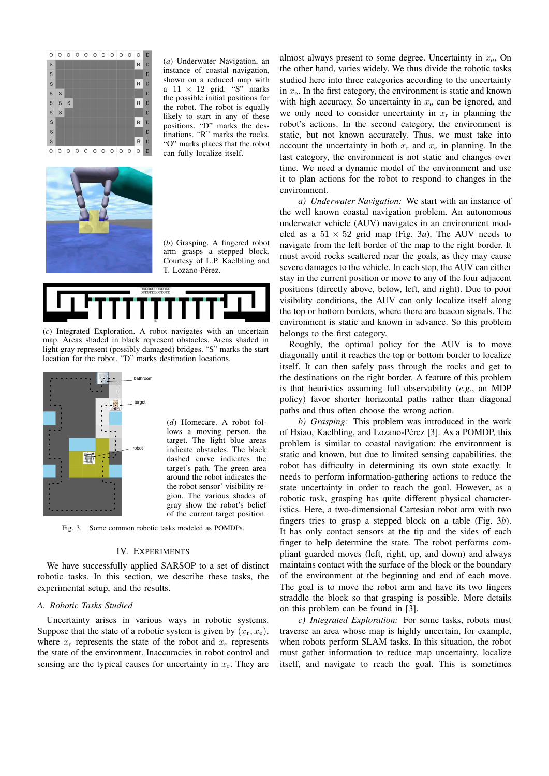



(*a*) Underwater Navigation, an instance of coastal navigation, shown on a reduced map with a  $11 \times 12$  grid. "S" marks the possible initial positions for the robot. The robot is equally likely to start in any of these positions. "D" marks the destinations. "R" marks the rocks. "O" marks places that the robot can fully localize itself.

(*b*) Grasping. A fingered robot arm grasps a stepped block. Courtesy of L.P. Kaelbling and T. Lozano-Pérez.



(*c*) Integrated Exploration. A robot navigates with an uncertain map. Areas shaded in black represent obstacles. Areas shaded in light gray represent (possibly damaged) bridges. "S" marks the start location for the robot. "D" marks destination locations.



(*d*) Homecare. A robot follows a moving person, the target. The light blue areas indicate obstacles. The black dashed curve indicates the target's path. The green area around the robot indicates the the robot sensor' visibility region. The various shades of gray show the robot's belief of the current target position.

Fig. 3. Some common robotic tasks modeled as POMDPs.

#### IV. EXPERIMENTS

We have successfully applied SARSOP to a set of distinct robotic tasks. In this section, we describe these tasks, the experimental setup, and the results.

#### *A. Robotic Tasks Studied*

Uncertainty arises in various ways in robotic systems. Suppose that the state of a robotic system is given by  $(x_r, x_e)$ , where  $x_r$  represents the state of the robot and  $x_e$  represents the state of the environment. Inaccuracies in robot control and sensing are the typical causes for uncertainty in  $x_r$ . They are

almost always present to some degree. Uncertainty in  $x<sub>e</sub>$ , On the other hand, varies widely. We thus divide the robotic tasks studied here into three categories according to the uncertainty in  $x<sub>e</sub>$ . In the first category, the environment is static and known with high accuracy. So uncertainty in  $x<sub>e</sub>$  can be ignored, and we only need to consider uncertainty in  $x_r$  in planning the robot's actions. In the second category, the environment is static, but not known accurately. Thus, we must take into account the uncertainty in both  $x_r$  and  $x_e$  in planning. In the last category, the environment is not static and changes over time. We need a dynamic model of the environment and use it to plan actions for the robot to respond to changes in the environment.

*a) Underwater Navigation:* We start with an instance of the well known coastal navigation problem. An autonomous underwater vehicle (AUV) navigates in an environment modeled as a  $51 \times 52$  grid map (Fig. 3*a*). The AUV needs to navigate from the left border of the map to the right border. It must avoid rocks scattered near the goals, as they may cause severe damages to the vehicle. In each step, the AUV can either stay in the current position or move to any of the four adjacent positions (directly above, below, left, and right). Due to poor visibility conditions, the AUV can only localize itself along the top or bottom borders, where there are beacon signals. The environment is static and known in advance. So this problem belongs to the first category.

Roughly, the optimal policy for the AUV is to move diagonally until it reaches the top or bottom border to localize itself. It can then safely pass through the rocks and get to the destinations on the right border. A feature of this problem is that heuristics assuming full observability (*e.g.*, an MDP policy) favor shorter horizontal paths rather than diagonal paths and thus often choose the wrong action.

*b) Grasping:* This problem was introduced in the work of Hsiao, Kaelbling, and Lozano-Pérez [3]. As a POMDP, this problem is similar to coastal navigation: the environment is static and known, but due to limited sensing capabilities, the robot has difficulty in determining its own state exactly. It needs to perform information-gathering actions to reduce the state uncertainty in order to reach the goal. However, as a robotic task, grasping has quite different physical characteristics. Here, a two-dimensional Cartesian robot arm with two fingers tries to grasp a stepped block on a table (Fig. 3*b*). It has only contact sensors at the tip and the sides of each finger to help determine the state. The robot performs compliant guarded moves (left, right, up, and down) and always maintains contact with the surface of the block or the boundary of the environment at the beginning and end of each move. The goal is to move the robot arm and have its two fingers straddle the block so that grasping is possible. More details on this problem can be found in [3].

*c) Integrated Exploration:* For some tasks, robots must traverse an area whose map is highly uncertain, for example, when robots perform SLAM tasks. In this situation, the robot must gather information to reduce map uncertainty, localize itself, and navigate to reach the goal. This is sometimes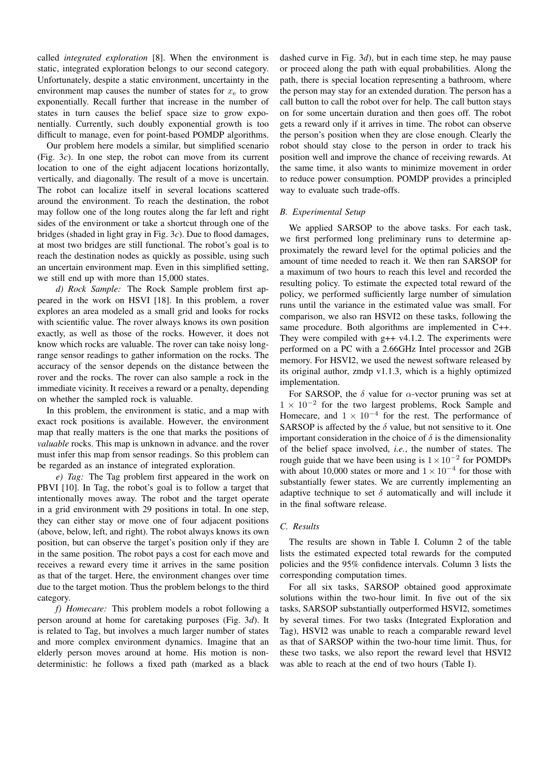called *integrated exploration* [8]. When the environment is static, integrated exploration belongs to our second category. Unfortunately, despite a static environment, uncertainty in the environment map causes the number of states for  $x_e$  to grow exponentially. Recall further that increase in the number of states in turn causes the belief space size to grow exponentially. Currently, such doubly exponential growth is too difficult to manage, even for point-based POMDP algorithms.

Our problem here models a similar, but simplified scenario (Fig. 3*c*). In one step, the robot can move from its current location to one of the eight adjacent locations horizontally, vertically, and diagonally. The result of a move is uncertain. The robot can localize itself in several locations scattered around the environment. To reach the destination, the robot may follow one of the long routes along the far left and right sides of the environment or take a shortcut through one of the bridges (shaded in light gray in Fig. 3*c*). Due to flood damages, at most two bridges are still functional. The robot's goal is to reach the destination nodes as quickly as possible, using such an uncertain environment map. Even in this simplified setting, we still end up with more than 15,000 states.

*d) Rock Sample:* The Rock Sample problem first appeared in the work on HSVI [18]. In this problem, a rover explores an area modeled as a small grid and looks for rocks with scientific value. The rover always knows its own position exactly, as well as those of the rocks. However, it does not know which rocks are valuable. The rover can take noisy longrange sensor readings to gather information on the rocks. The accuracy of the sensor depends on the distance between the rover and the rocks. The rover can also sample a rock in the immediate vicinity. It receives a reward or a penalty, depending on whether the sampled rock is valuable.

In this problem, the environment is static, and a map with exact rock positions is available. However, the environment map that really matters is the one that marks the positions of *valuable* rocks. This map is unknown in advance. and the rover must infer this map from sensor readings. So this problem can be regarded as an instance of integrated exploration.

*e) Tag:* The Tag problem first appeared in the work on PBVI [10]. In Tag, the robot's goal is to follow a target that intentionally moves away. The robot and the target operate in a grid environment with 29 positions in total. In one step, they can either stay or move one of four adjacent positions (above, below, left, and right). The robot always knows its own position, but can observe the target's position only if they are in the same position. The robot pays a cost for each move and receives a reward every time it arrives in the same position as that of the target. Here, the environment changes over time due to the target motion. Thus the problem belongs to the third category.

*f) Homecare:* This problem models a robot following a person around at home for caretaking purposes (Fig. 3*d*). It is related to Tag, but involves a much larger number of states and more complex environment dynamics. Imagine that an elderly person moves around at home. His motion is nondeterministic: he follows a fixed path (marked as a black

dashed curve in Fig. 3*d*), but in each time step, he may pause or proceed along the path with equal probabilities. Along the path, there is special location representing a bathroom, where the person may stay for an extended duration. The person has a call button to call the robot over for help. The call button stays on for some uncertain duration and then goes off. The robot gets a reward only if it arrives in time. The robot can observe the person's position when they are close enough. Clearly the robot should stay close to the person in order to track his position well and improve the chance of receiving rewards. At the same time, it also wants to minimize movement in order to reduce power consumption. POMDP provides a principled way to evaluate such trade-offs.

## *B. Experimental Setup*

We applied SARSOP to the above tasks. For each task, we first performed long preliminary runs to determine approximately the reward level for the optimal policies and the amount of time needed to reach it. We then ran SARSOP for a maximum of two hours to reach this level and recorded the resulting policy. To estimate the expected total reward of the policy, we performed sufficiently large number of simulation runs until the variance in the estimated value was small. For comparison, we also ran HSVI2 on these tasks, following the same procedure. Both algorithms are implemented in C++. They were compiled with  $g++ v4.1.2$ . The experiments were performed on a PC with a 2.66GHz Intel processor and 2GB memory. For HSVI2, we used the newest software released by its original author, zmdp v1.1.3, which is a highly optimized implementation.

For SARSOP, the  $\delta$  value for  $\alpha$ -vector pruning was set at  $1 \times 10^{-2}$  for the two largest problems, Rock Sample and Homecare, and  $1 \times 10^{-4}$  for the rest. The performance of SARSOP is affected by the  $\delta$  value, but not sensitive to it. One important consideration in the choice of  $\delta$  is the dimensionality of the belief space involved, *i.e.*, the number of states. The rough guide that we have been using is  $1 \times 10^{-2}$  for POMDPs with about 10,000 states or more and  $1 \times 10^{-4}$  for those with substantially fewer states. We are currently implementing an adaptive technique to set  $\delta$  automatically and will include it in the final software release.

#### *C. Results*

The results are shown in Table I. Column 2 of the table lists the estimated expected total rewards for the computed policies and the 95% confidence intervals. Column 3 lists the corresponding computation times.

For all six tasks, SARSOP obtained good approximate solutions within the two-hour limit. In five out of the six tasks, SARSOP substantially outperformed HSVI2, sometimes by several times. For two tasks (Integrated Exploration and Tag), HSVI2 was unable to reach a comparable reward level as that of SARSOP within the two-hour time limit. Thus, for these two tasks, we also report the reward level that HSVI2 was able to reach at the end of two hours (Table I).